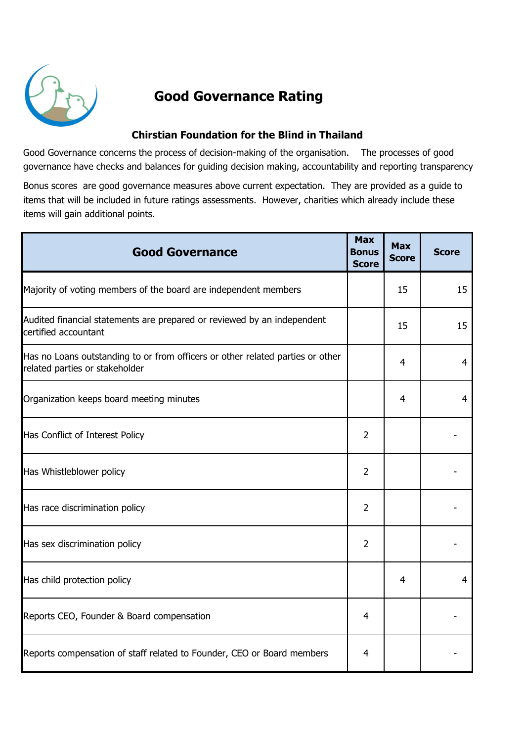

## Good Governance Rating

## Chirstian Foundation for the Blind in Thailand

Good Governance concerns the process of decision-making of the organisation. The processes of good governance have checks and balances for guiding decision making, accountability and reporting transparency.

Bonus scores are good governance measures above current expectation. They are provided as a guide to items that will be included in future ratings assessments. However, charities which already include these items will gain additional points.

| <b>Good Governance</b>                                                                                           | <b>Max</b><br><b>Bonus</b><br><b>Score</b> | <b>Max</b><br><b>Score</b> | <b>Score</b>   |
|------------------------------------------------------------------------------------------------------------------|--------------------------------------------|----------------------------|----------------|
| Majority of voting members of the board are independent members                                                  |                                            | 15                         | 15             |
| Audited financial statements are prepared or reviewed by an independent<br>certified accountant                  |                                            | 15                         | 15             |
| Has no Loans outstanding to or from officers or other related parties or other<br>related parties or stakeholder |                                            | $\overline{4}$             | $\overline{4}$ |
| Organization keeps board meeting minutes                                                                         |                                            | 4                          | 4              |
| Has Conflict of Interest Policy                                                                                  | $\overline{2}$                             |                            |                |
| Has Whistleblower policy                                                                                         | 2                                          |                            |                |
| Has race discrimination policy                                                                                   | $\overline{2}$                             |                            |                |
| Has sex discrimination policy                                                                                    | $\overline{2}$                             |                            |                |
| Has child protection policy                                                                                      |                                            | $\overline{4}$             | 4              |
| Reports CEO, Founder & Board compensation                                                                        | 4                                          |                            |                |
| Reports compensation of staff related to Founder, CEO or Board members                                           | 4                                          |                            |                |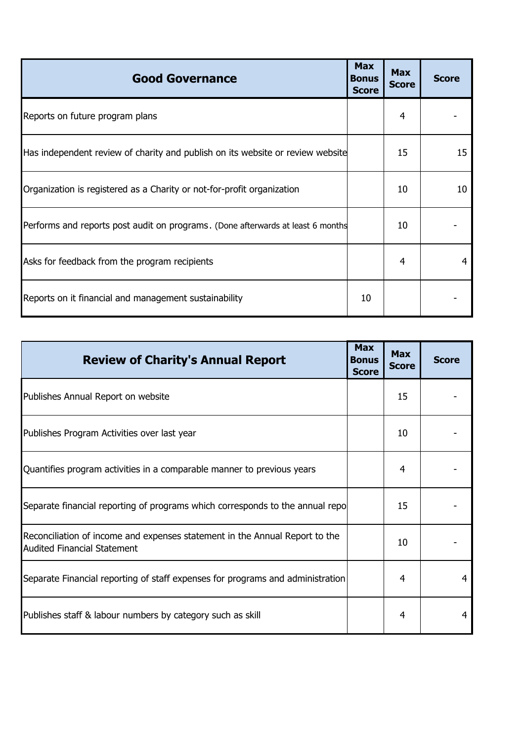| <b>Good Governance</b>                                                          | <b>Max</b><br><b>Bonus</b><br><b>Score</b> | <b>Max</b><br><b>Score</b> | <b>Score</b> |
|---------------------------------------------------------------------------------|--------------------------------------------|----------------------------|--------------|
| Reports on future program plans                                                 |                                            | 4                          |              |
| Has independent review of charity and publish on its website or review website  |                                            | 15                         | 15           |
| Organization is registered as a Charity or not-for-profit organization          |                                            | 10                         | 10           |
| Performs and reports post audit on programs. (Done afterwards at least 6 months |                                            | 10                         |              |
| Asks for feedback from the program recipients                                   |                                            | 4                          |              |
| Reports on it financial and management sustainability                           | 10                                         |                            |              |

| <b>Review of Charity's Annual Report</b>                                                                          | <b>Max</b><br><b>Bonus</b><br><b>Score</b> | <b>Max</b><br><b>Score</b> | <b>Score</b> |
|-------------------------------------------------------------------------------------------------------------------|--------------------------------------------|----------------------------|--------------|
| Publishes Annual Report on website                                                                                |                                            | 15                         |              |
| Publishes Program Activities over last year                                                                       |                                            | 10                         |              |
| Quantifies program activities in a comparable manner to previous years                                            |                                            | 4                          |              |
| Separate financial reporting of programs which corresponds to the annual repo                                     |                                            | 15                         |              |
| Reconciliation of income and expenses statement in the Annual Report to the<br><b>Audited Financial Statement</b> |                                            | 10                         |              |
| Separate Financial reporting of staff expenses for programs and administration                                    |                                            | 4                          | 4            |
| Publishes staff & labour numbers by category such as skill                                                        |                                            | 4                          | 4            |